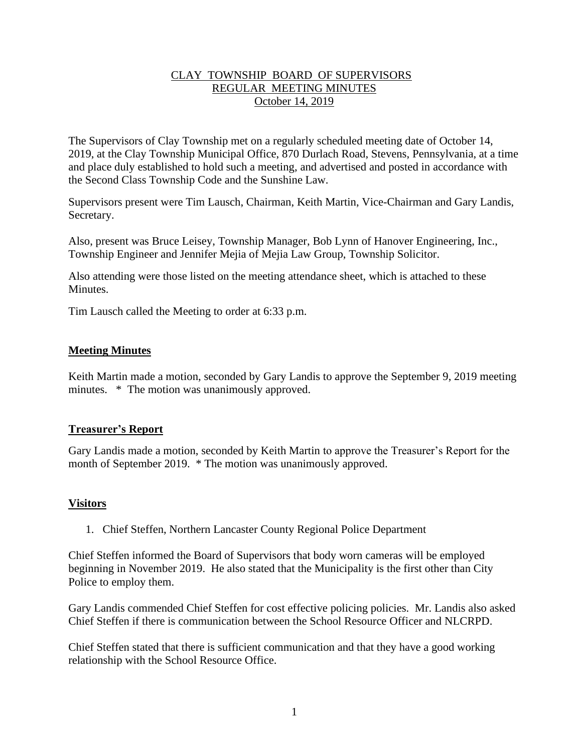# CLAY TOWNSHIP BOARD OF SUPERVISORS REGULAR MEETING MINUTES October 14, 2019

The Supervisors of Clay Township met on a regularly scheduled meeting date of October 14, 2019, at the Clay Township Municipal Office, 870 Durlach Road, Stevens, Pennsylvania, at a time and place duly established to hold such a meeting, and advertised and posted in accordance with the Second Class Township Code and the Sunshine Law.

Supervisors present were Tim Lausch, Chairman, Keith Martin, Vice-Chairman and Gary Landis, Secretary.

Also, present was Bruce Leisey, Township Manager, Bob Lynn of Hanover Engineering, Inc., Township Engineer and Jennifer Mejia of Mejia Law Group, Township Solicitor.

Also attending were those listed on the meeting attendance sheet, which is attached to these **Minutes** 

Tim Lausch called the Meeting to order at 6:33 p.m.

## **Meeting Minutes**

Keith Martin made a motion, seconded by Gary Landis to approve the September 9, 2019 meeting minutes. \* The motion was unanimously approved.

## **Treasurer's Report**

Gary Landis made a motion, seconded by Keith Martin to approve the Treasurer's Report for the month of September 2019. \* The motion was unanimously approved.

# **Visitors**

1. Chief Steffen, Northern Lancaster County Regional Police Department

Chief Steffen informed the Board of Supervisors that body worn cameras will be employed beginning in November 2019. He also stated that the Municipality is the first other than City Police to employ them.

Gary Landis commended Chief Steffen for cost effective policing policies. Mr. Landis also asked Chief Steffen if there is communication between the School Resource Officer and NLCRPD.

Chief Steffen stated that there is sufficient communication and that they have a good working relationship with the School Resource Office.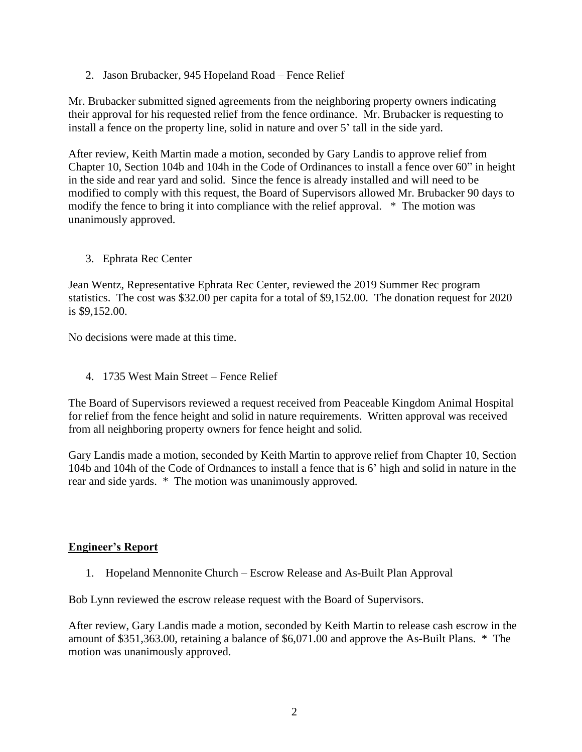2. Jason Brubacker, 945 Hopeland Road – Fence Relief

Mr. Brubacker submitted signed agreements from the neighboring property owners indicating their approval for his requested relief from the fence ordinance. Mr. Brubacker is requesting to install a fence on the property line, solid in nature and over 5' tall in the side yard.

After review, Keith Martin made a motion, seconded by Gary Landis to approve relief from Chapter 10, Section 104b and 104h in the Code of Ordinances to install a fence over 60" in height in the side and rear yard and solid. Since the fence is already installed and will need to be modified to comply with this request, the Board of Supervisors allowed Mr. Brubacker 90 days to modify the fence to bring it into compliance with the relief approval. \* The motion was unanimously approved.

3. Ephrata Rec Center

Jean Wentz, Representative Ephrata Rec Center, reviewed the 2019 Summer Rec program statistics. The cost was \$32.00 per capita for a total of \$9,152.00. The donation request for 2020 is \$9,152.00.

No decisions were made at this time.

4. 1735 West Main Street – Fence Relief

The Board of Supervisors reviewed a request received from Peaceable Kingdom Animal Hospital for relief from the fence height and solid in nature requirements. Written approval was received from all neighboring property owners for fence height and solid.

Gary Landis made a motion, seconded by Keith Martin to approve relief from Chapter 10, Section 104b and 104h of the Code of Ordnances to install a fence that is 6' high and solid in nature in the rear and side yards. \* The motion was unanimously approved.

## **Engineer's Report**

1. Hopeland Mennonite Church – Escrow Release and As-Built Plan Approval

Bob Lynn reviewed the escrow release request with the Board of Supervisors.

After review, Gary Landis made a motion, seconded by Keith Martin to release cash escrow in the amount of \$351,363.00, retaining a balance of \$6,071.00 and approve the As-Built Plans. \* The motion was unanimously approved.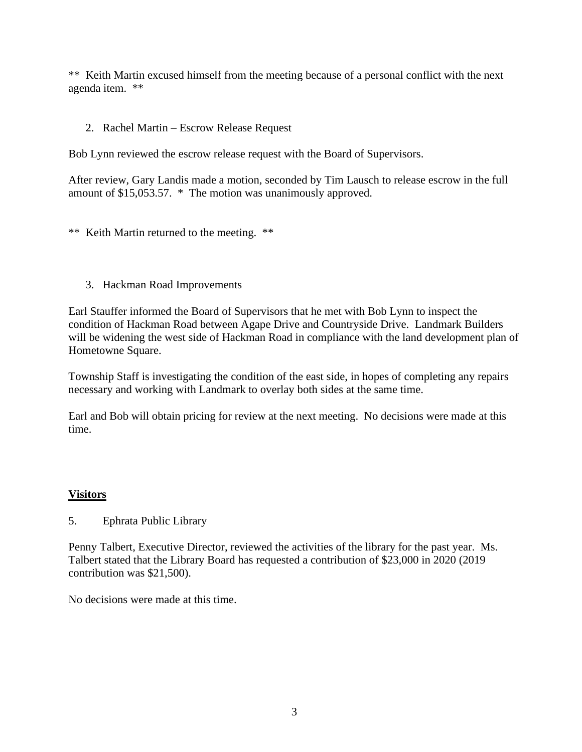\*\* Keith Martin excused himself from the meeting because of a personal conflict with the next agenda item. \*\*

## 2. Rachel Martin – Escrow Release Request

Bob Lynn reviewed the escrow release request with the Board of Supervisors.

After review, Gary Landis made a motion, seconded by Tim Lausch to release escrow in the full amount of \$15,053.57. \* The motion was unanimously approved.

\*\* Keith Martin returned to the meeting. \*\*

3. Hackman Road Improvements

Earl Stauffer informed the Board of Supervisors that he met with Bob Lynn to inspect the condition of Hackman Road between Agape Drive and Countryside Drive. Landmark Builders will be widening the west side of Hackman Road in compliance with the land development plan of Hometowne Square.

Township Staff is investigating the condition of the east side, in hopes of completing any repairs necessary and working with Landmark to overlay both sides at the same time.

Earl and Bob will obtain pricing for review at the next meeting. No decisions were made at this time.

# **Visitors**

5. Ephrata Public Library

Penny Talbert, Executive Director, reviewed the activities of the library for the past year. Ms. Talbert stated that the Library Board has requested a contribution of \$23,000 in 2020 (2019 contribution was \$21,500).

No decisions were made at this time.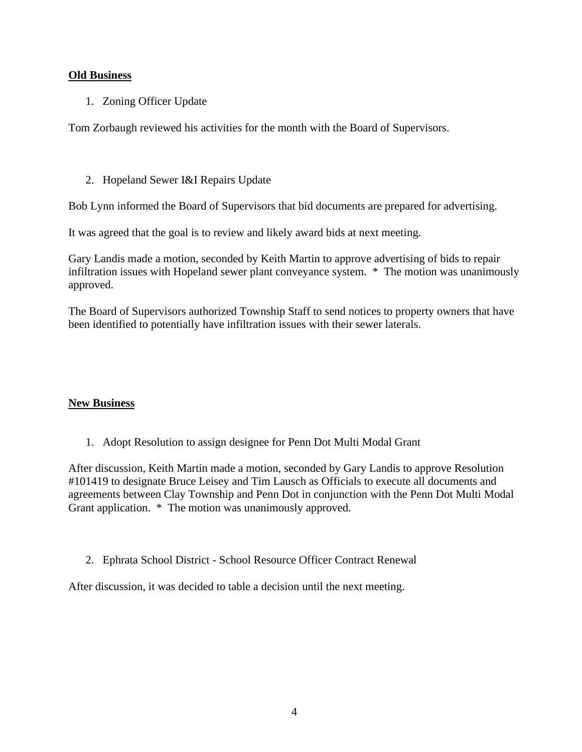## **Old Business**

1. Zoning Officer Update

Tom Zorbaugh reviewed his activities for the month with the Board of Supervisors.

2. Hopeland Sewer I&I Repairs Update

Bob Lynn informed the Board of Supervisors that bid documents are prepared for advertising.

It was agreed that the goal is to review and likely award bids at next meeting.

Gary Landis made a motion, seconded by Keith Martin to approve advertising of bids to repair infiltration issues with Hopeland sewer plant conveyance system. \* The motion was unanimously approved.

The Board of Supervisors authorized Township Staff to send notices to property owners that have been identified to potentially have infiltration issues with their sewer laterals.

# **New Business**

1. Adopt Resolution to assign designee for Penn Dot Multi Modal Grant

After discussion, Keith Martin made a motion, seconded by Gary Landis to approve Resolution #101419 to designate Bruce Leisey and Tim Lausch as Officials to execute all documents and agreements between Clay Township and Penn Dot in conjunction with the Penn Dot Multi Modal Grant application. \* The motion was unanimously approved.

2. Ephrata School District - School Resource Officer Contract Renewal

After discussion, it was decided to table a decision until the next meeting.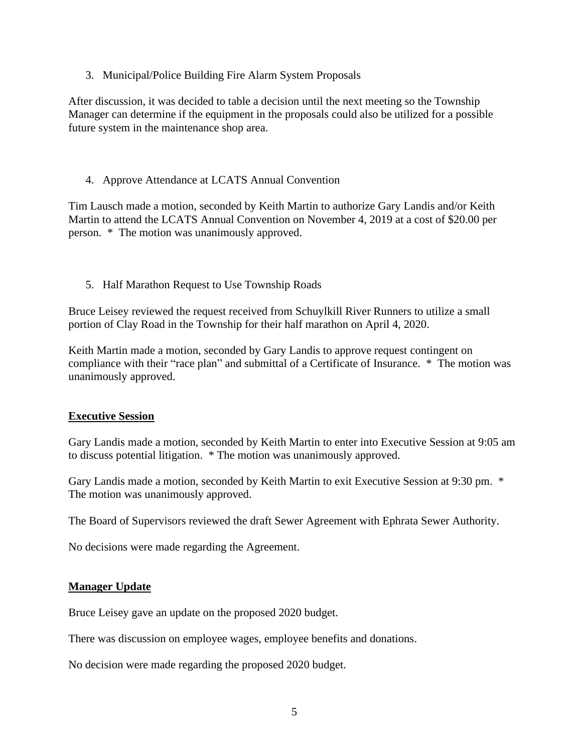3. Municipal/Police Building Fire Alarm System Proposals

After discussion, it was decided to table a decision until the next meeting so the Township Manager can determine if the equipment in the proposals could also be utilized for a possible future system in the maintenance shop area.

# 4. Approve Attendance at LCATS Annual Convention

Tim Lausch made a motion, seconded by Keith Martin to authorize Gary Landis and/or Keith Martin to attend the LCATS Annual Convention on November 4, 2019 at a cost of \$20.00 per person. \* The motion was unanimously approved.

5. Half Marathon Request to Use Township Roads

Bruce Leisey reviewed the request received from Schuylkill River Runners to utilize a small portion of Clay Road in the Township for their half marathon on April 4, 2020.

Keith Martin made a motion, seconded by Gary Landis to approve request contingent on compliance with their "race plan" and submittal of a Certificate of Insurance. \* The motion was unanimously approved.

## **Executive Session**

Gary Landis made a motion, seconded by Keith Martin to enter into Executive Session at 9:05 am to discuss potential litigation. \* The motion was unanimously approved.

Gary Landis made a motion, seconded by Keith Martin to exit Executive Session at 9:30 pm. \* The motion was unanimously approved.

The Board of Supervisors reviewed the draft Sewer Agreement with Ephrata Sewer Authority.

No decisions were made regarding the Agreement.

## **Manager Update**

Bruce Leisey gave an update on the proposed 2020 budget.

There was discussion on employee wages, employee benefits and donations.

No decision were made regarding the proposed 2020 budget.